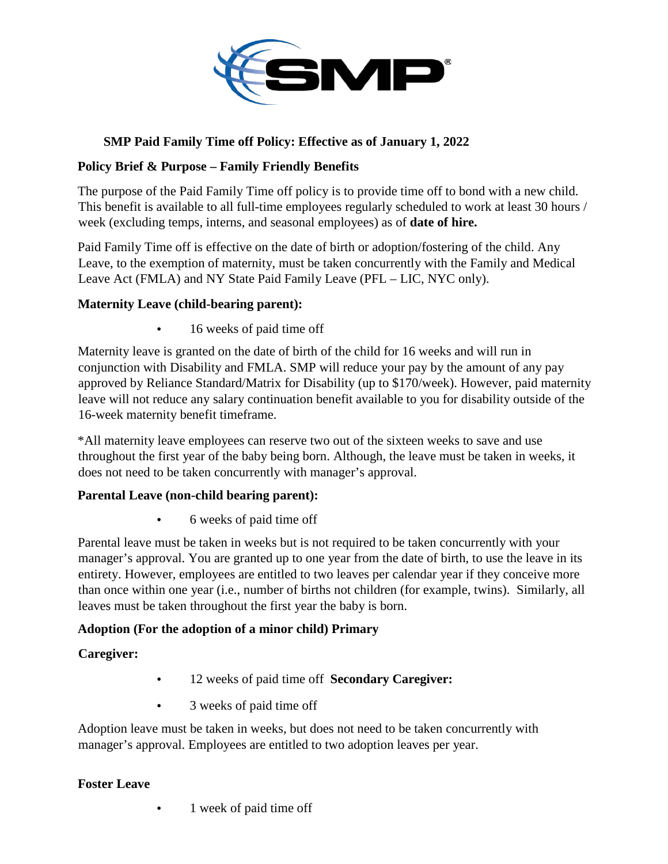

# **SMP Paid Family Time off Policy: Effective as of January 1, 2022**

## **Policy Brief & Purpose – Family Friendly Benefits**

The purpose of the Paid Family Time off policy is to provide time off to bond with a new child. This benefit is available to all full-time employees regularly scheduled to work at least 30 hours / week (excluding temps, interns, and seasonal employees) as of **date of hire.**

Paid Family Time off is effective on the date of birth or adoption/fostering of the child. Any Leave, to the exemption of maternity, must be taken concurrently with the Family and Medical Leave Act (FMLA) and NY State Paid Family Leave (PFL – LIC, NYC only).

## **Maternity Leave (child-bearing parent):**

• 16 weeks of paid time off

Maternity leave is granted on the date of birth of the child for 16 weeks and will run in conjunction with Disability and FMLA. SMP will reduce your pay by the amount of any pay approved by Reliance Standard/Matrix for Disability (up to \$170/week). However, paid maternity leave will not reduce any salary continuation benefit available to you for disability outside of the 16-week maternity benefit timeframe.

\*All maternity leave employees can reserve two out of the sixteen weeks to save and use throughout the first year of the baby being born. Although, the leave must be taken in weeks, it does not need to be taken concurrently with manager's approval.

### **Parental Leave (non-child bearing parent):**

• 6 weeks of paid time off

Parental leave must be taken in weeks but is not required to be taken concurrently with your manager's approval. You are granted up to one year from the date of birth, to use the leave in its entirety. However, employees are entitled to two leaves per calendar year if they conceive more than once within one year (i.e., number of births not children (for example, twins). Similarly, all leaves must be taken throughout the first year the baby is born.

### **Adoption (For the adoption of a minor child) Primary**

**Caregiver:**

- 12 weeks of paid time off **Secondary Caregiver:**
- 3 weeks of paid time off

Adoption leave must be taken in weeks, but does not need to be taken concurrently with manager's approval. Employees are entitled to two adoption leaves per year.

### **Foster Leave**

1 week of paid time off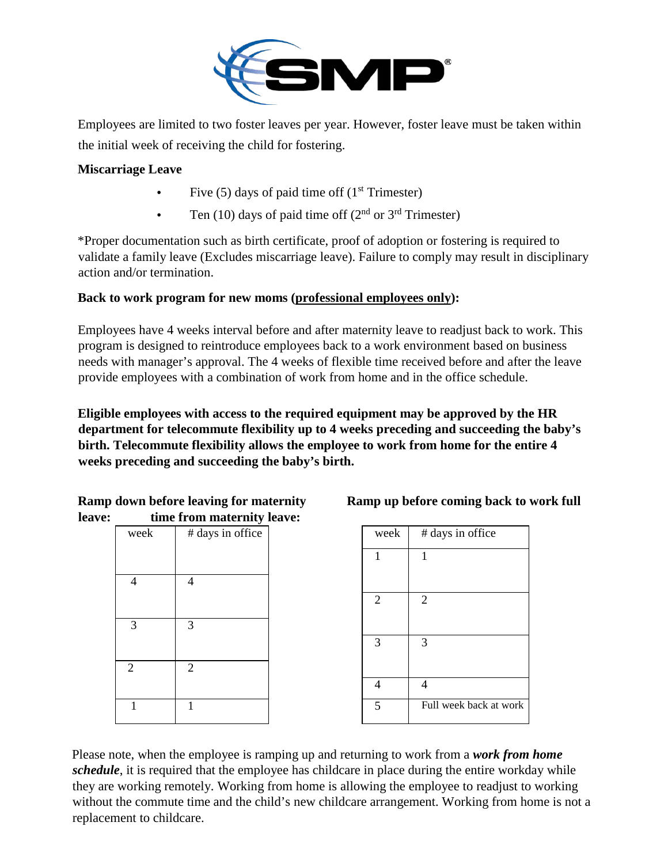

Employees are limited to two foster leaves per year. However, foster leave must be taken within the initial week of receiving the child for fostering.

### **Miscarriage Leave**

- Five (5) days of paid time off  $(1<sup>st</sup> Trimester)$
- Ten (10) days of paid time off ( $2<sup>nd</sup>$  or  $3<sup>rd</sup>$  Trimester)

\*Proper documentation such as birth certificate, proof of adoption or fostering is required to validate a family leave (Excludes miscarriage leave). Failure to comply may result in disciplinary action and/or termination.

## **Back to work program for new moms (professional employees only):**

Employees have 4 weeks interval before and after maternity leave to readjust back to work. This program is designed to reintroduce employees back to a work environment based on business needs with manager's approval. The 4 weeks of flexible time received before and after the leave provide employees with a combination of work from home and in the office schedule.

**Eligible employees with access to the required equipment may be approved by the HR department for telecommute flexibility up to 4 weeks preceding and succeeding the baby's birth. Telecommute flexibility allows the employee to work from home for the entire 4 weeks preceding and succeeding the baby's birth.** 

|        | <b>Ramp down before leaving for maternity</b> |
|--------|-----------------------------------------------|
| leave: | time from maternity leave:                    |

|                             | ___<br>___       | . |                |                   |
|-----------------------------|------------------|---|----------------|-------------------|
| week                        | # days in office |   | week           | # days in office  |
|                             |                  |   |                |                   |
| $\overline{4}$              | 4                |   |                |                   |
|                             |                  |   | $\overline{2}$ | $\overline{2}$    |
| 3                           | 3                |   |                |                   |
|                             |                  |   | 3              | 3                 |
| $\mathcal{D}_{\mathcal{L}}$ | 2                |   |                |                   |
|                             |                  |   | $\overline{4}$ | $\overline{4}$    |
|                             |                  |   | 5              | Full week back at |
|                             |                  |   |                |                   |

### **Ramp up before coming back to work full**

| veek | # days in office | week           | # days in office       |
|------|------------------|----------------|------------------------|
|      |                  |                |                        |
| 4    | 4                |                |                        |
|      |                  | $\overline{2}$ | 2                      |
| 3    | 3                |                |                        |
|      |                  | 3              | 3                      |
|      | $\overline{2}$   |                |                        |
|      |                  | 4              | 4                      |
| 1    |                  | 5              | Full week back at work |
|      |                  |                |                        |

Please note, when the employee is ramping up and returning to work from a *work from home schedule*, it is required that the employee has childcare in place during the entire workday while they are working remotely. Working from home is allowing the employee to readjust to working without the commute time and the child's new childcare arrangement. Working from home is not a replacement to childcare.